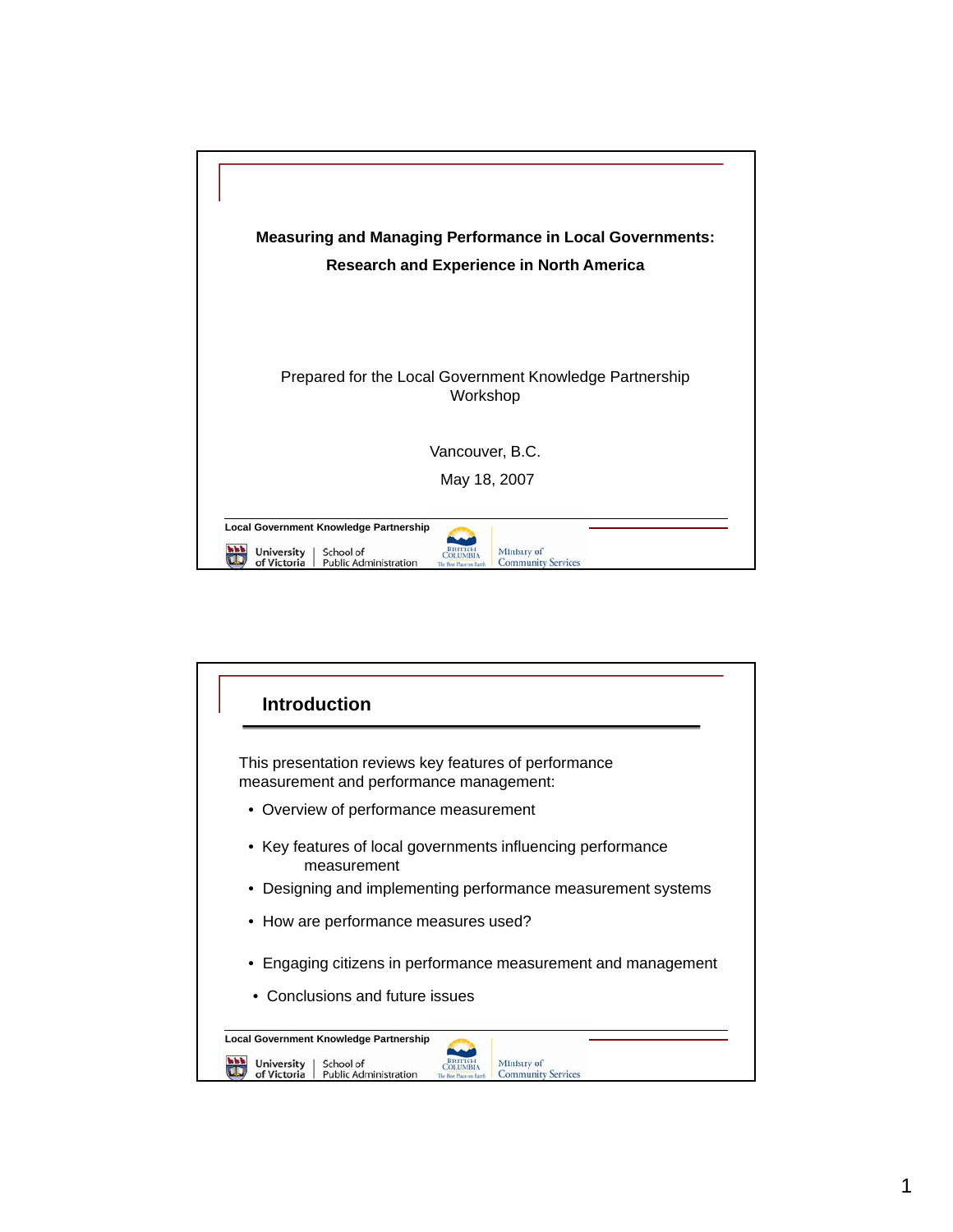

| Introduction                                                                                                                                                 |
|--------------------------------------------------------------------------------------------------------------------------------------------------------------|
| This presentation reviews key features of performance<br>measurement and performance management:                                                             |
| • Overview of performance measurement                                                                                                                        |
| Key features of local governments influencing performance<br>measurement                                                                                     |
| Designing and implementing performance measurement systems                                                                                                   |
| • How are performance measures used?                                                                                                                         |
| • Engaging citizens in performance measurement and management<br>• Conclusions and future issues                                                             |
| Local Government Knowledge Partnership<br>University<br>School of<br>Ministry of<br>of Victoria<br><b>Public Administration</b><br><b>Community Services</b> |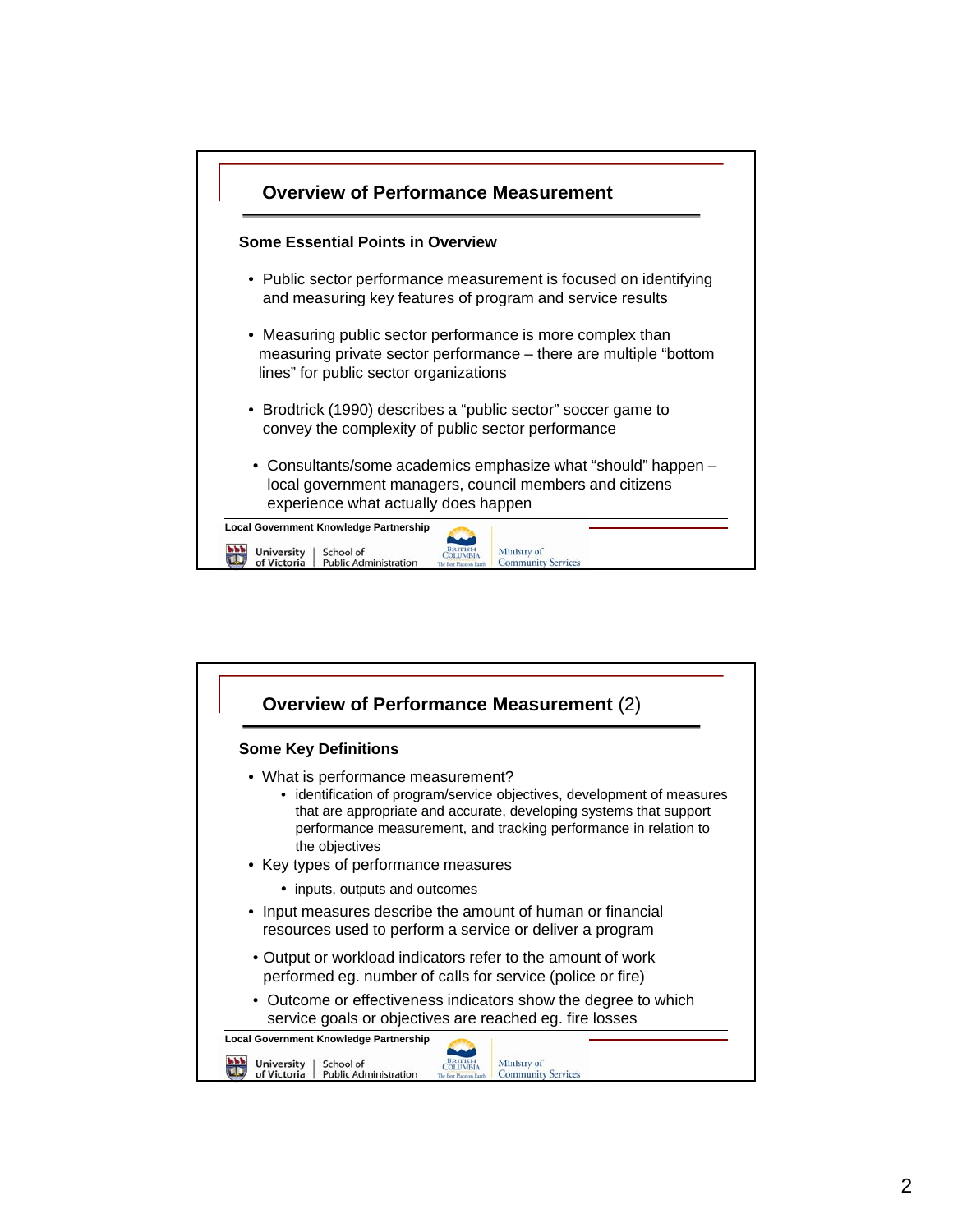

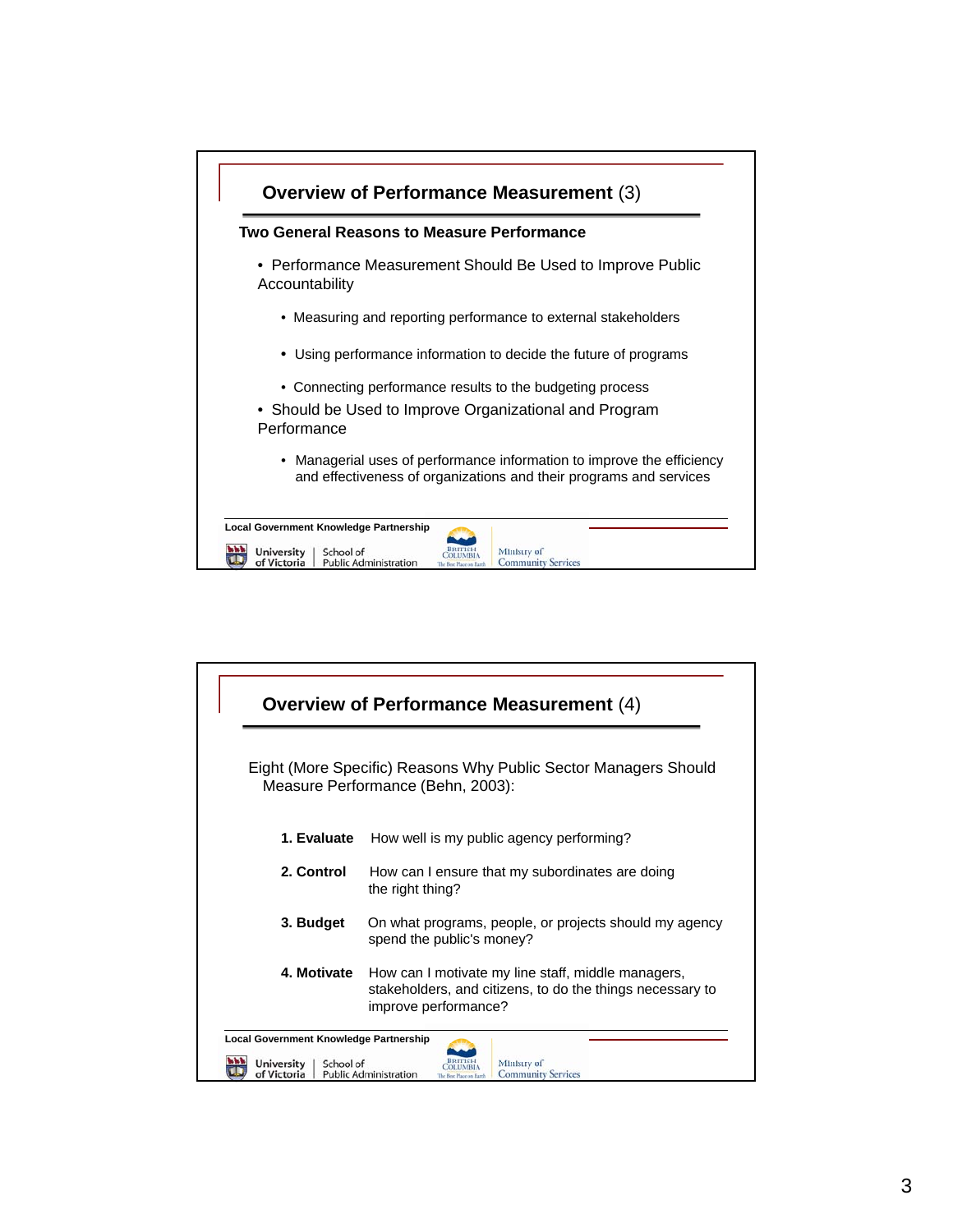

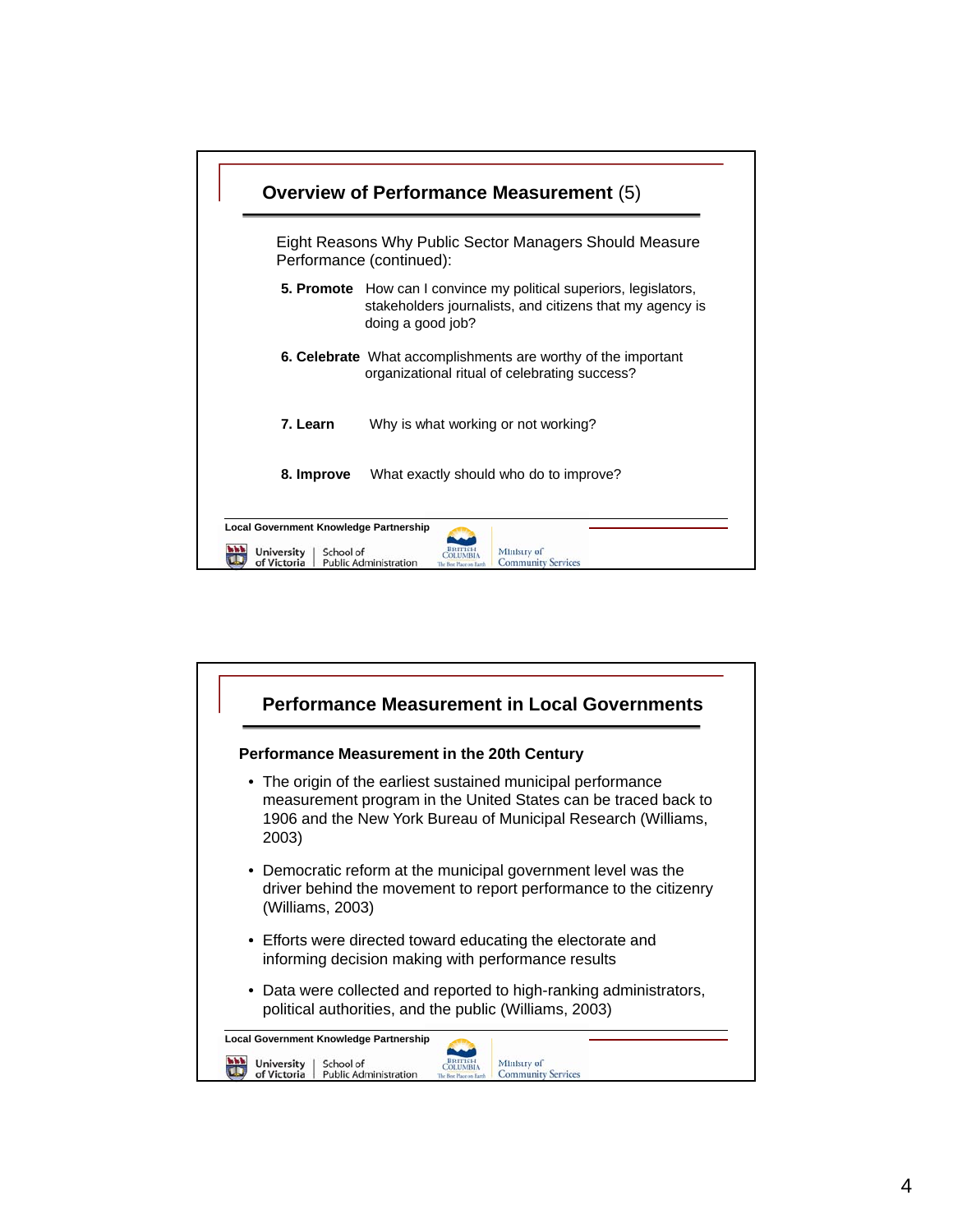

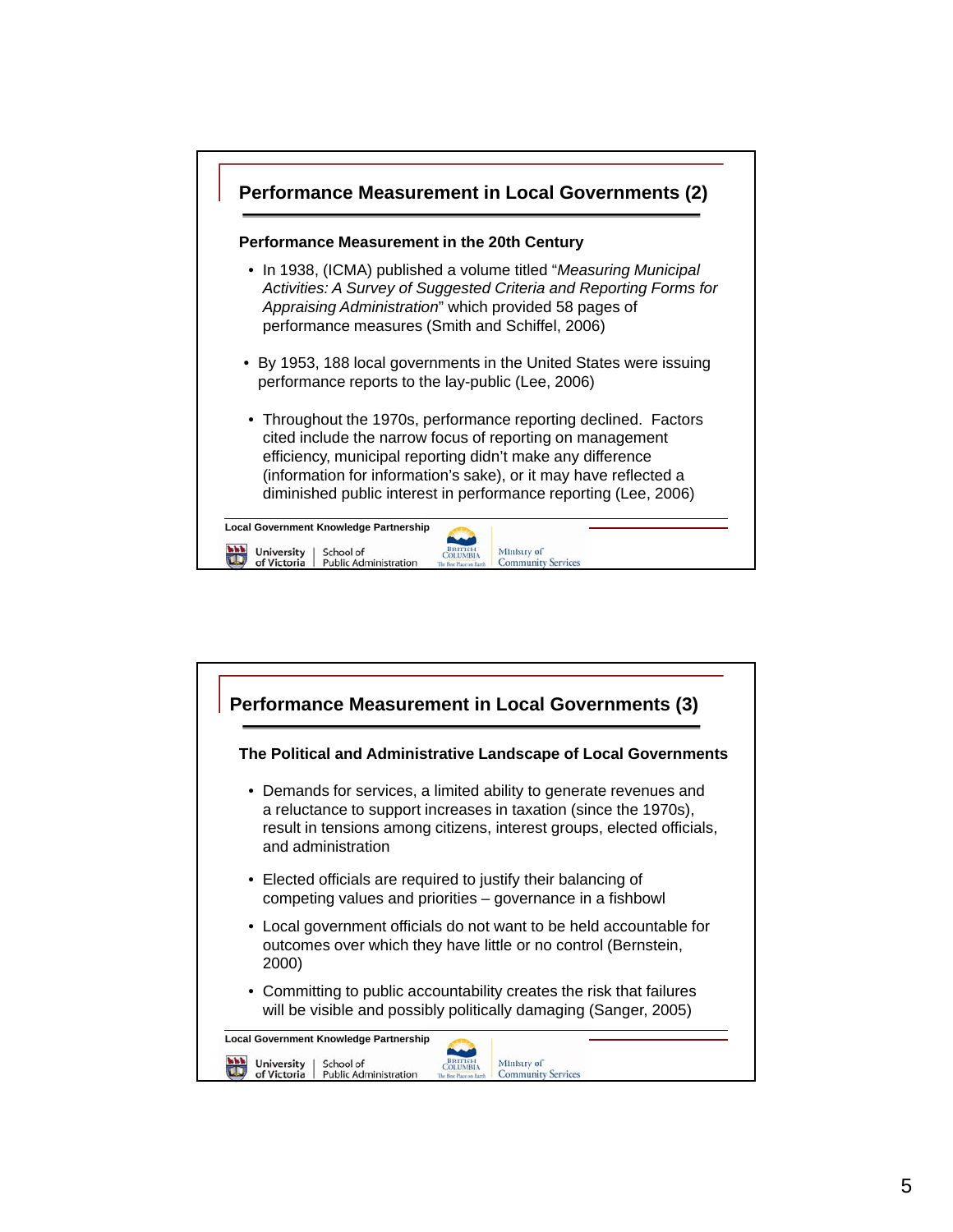

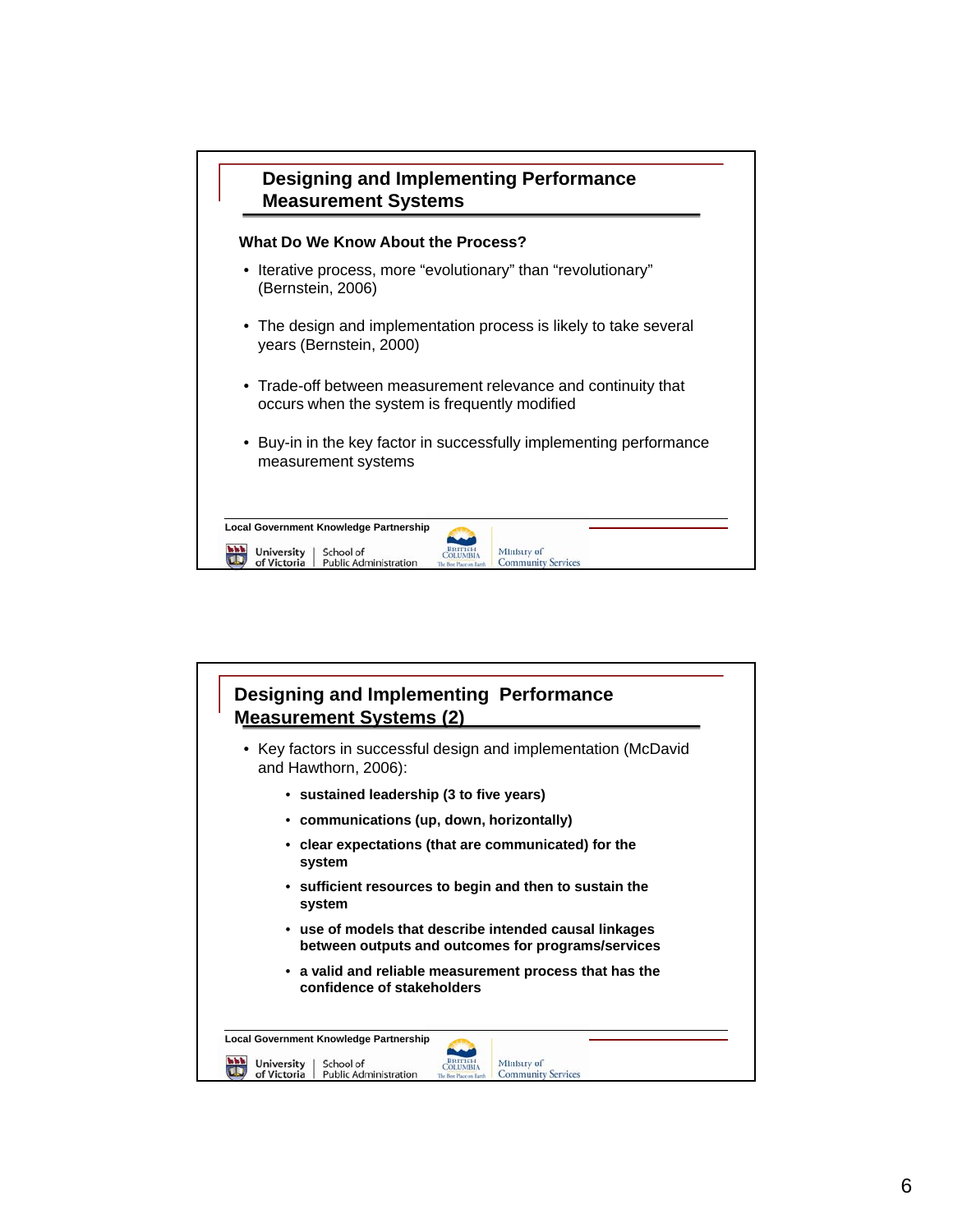| <b>Designing and Implementing Performance</b><br><b>Measurement Systems</b>                                               |  |
|---------------------------------------------------------------------------------------------------------------------------|--|
| What Do We Know About the Process?                                                                                        |  |
| • Iterative process, more "evolutionary" than "revolutionary"<br>(Bernstein, 2006)                                        |  |
| • The design and implementation process is likely to take several<br>years (Bernstein, 2000)                              |  |
| • Trade-off between measurement relevance and continuity that<br>occurs when the system is frequently modified            |  |
| • Buy-in in the key factor in successfully implementing performance<br>measurement systems                                |  |
| <b>Local Government Knowledge Partnership</b>                                                                             |  |
| <b>University</b><br>School of<br>Ministry of<br><b>Public Administration</b><br><b>Community Services</b><br>of Victoria |  |

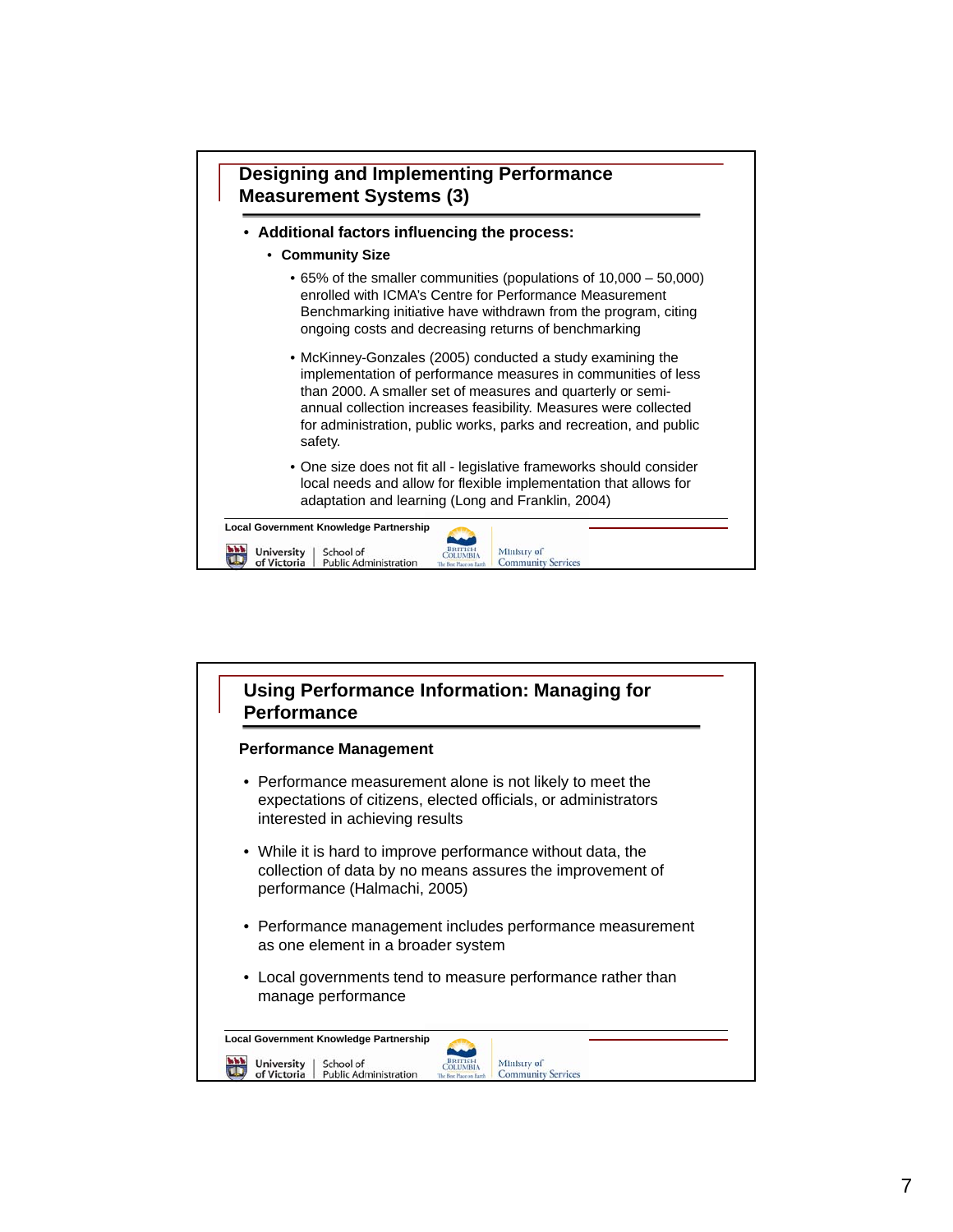

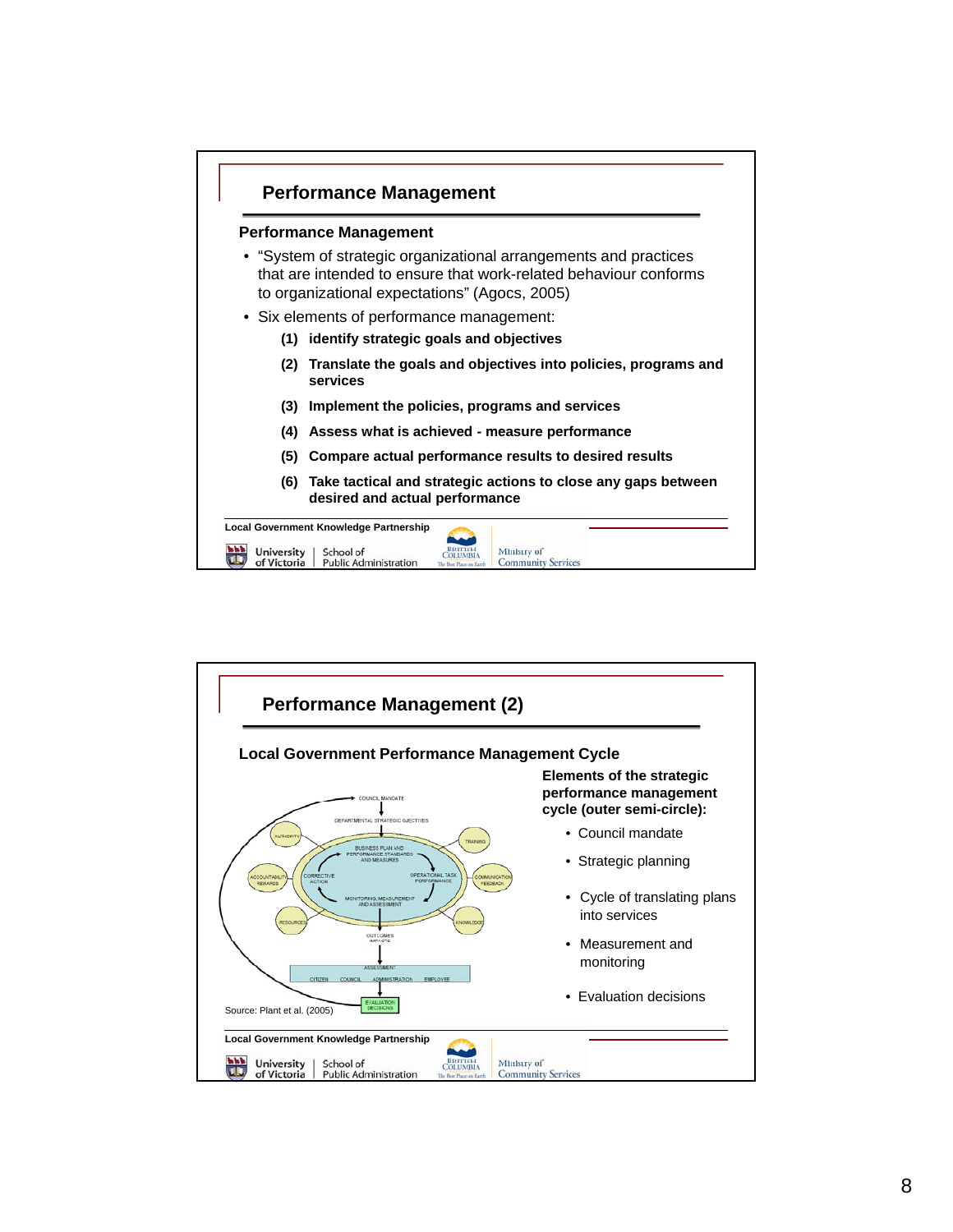

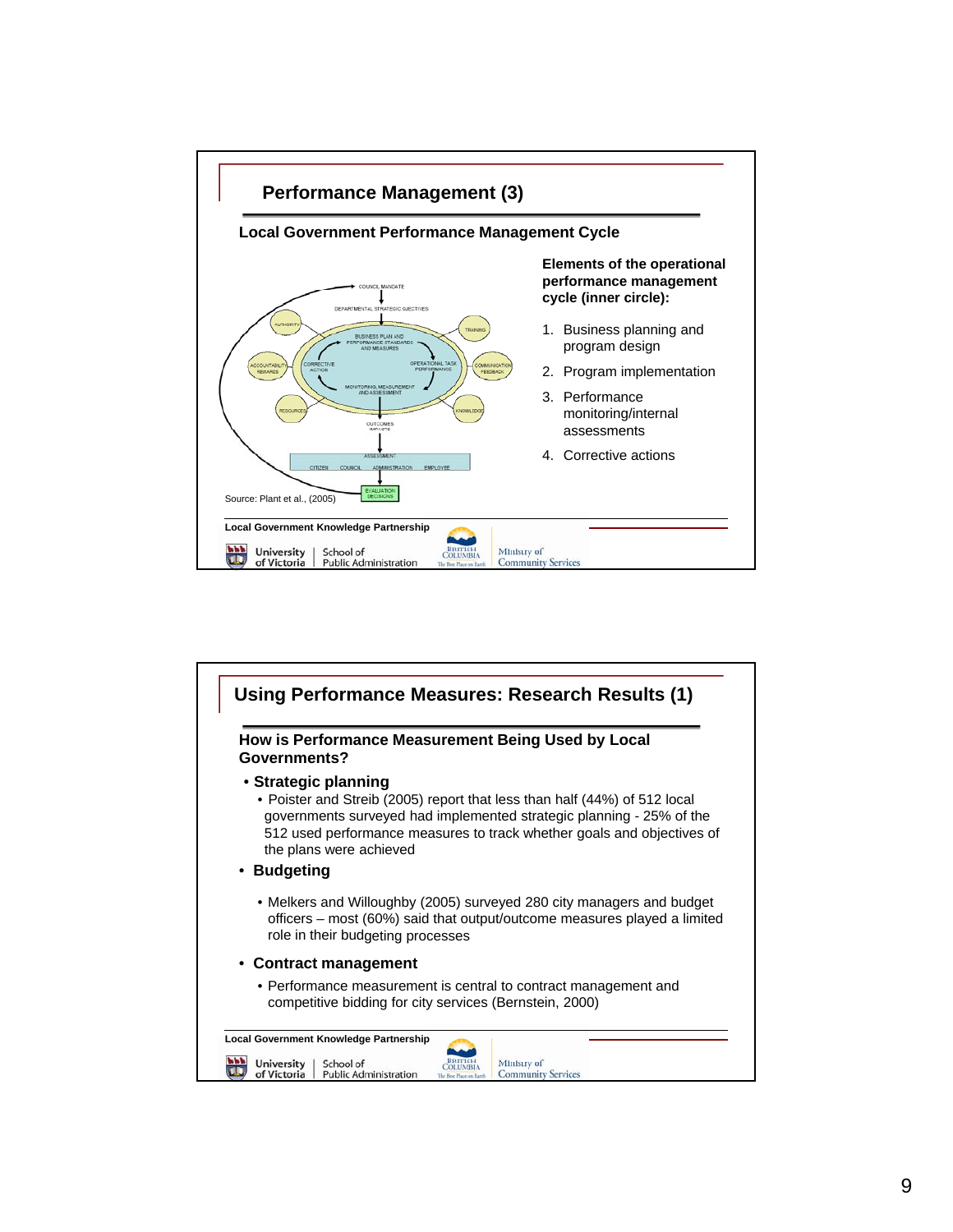

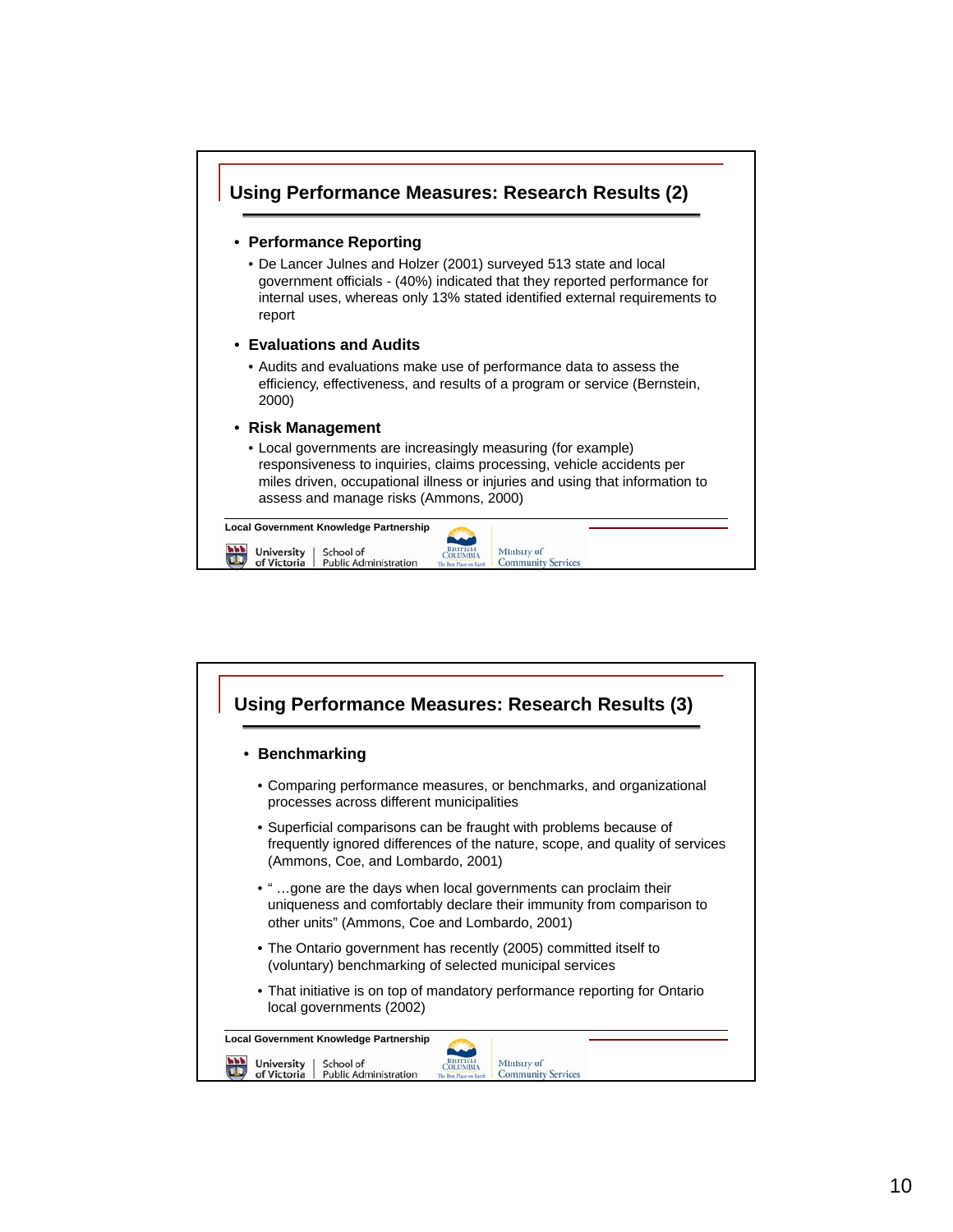

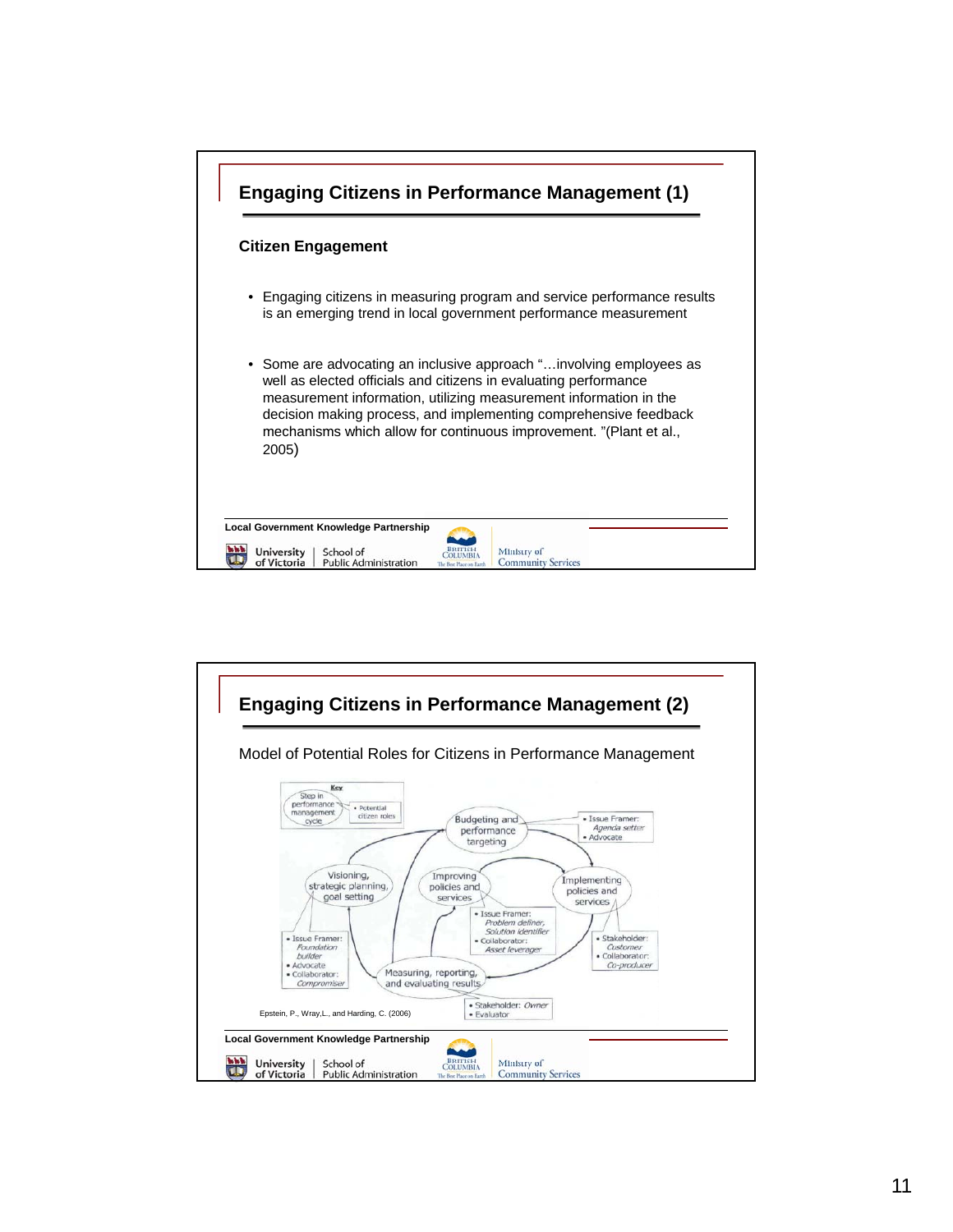

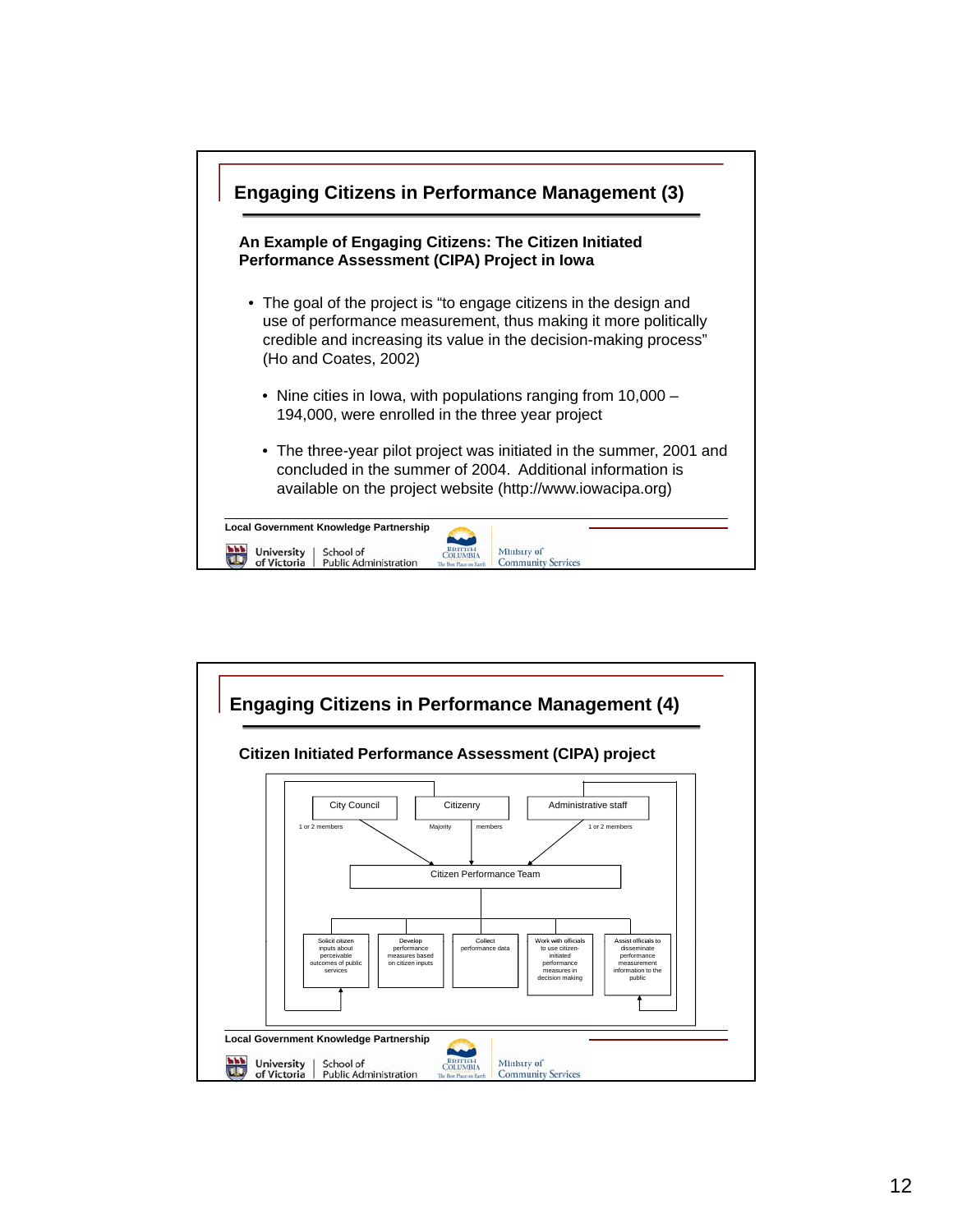

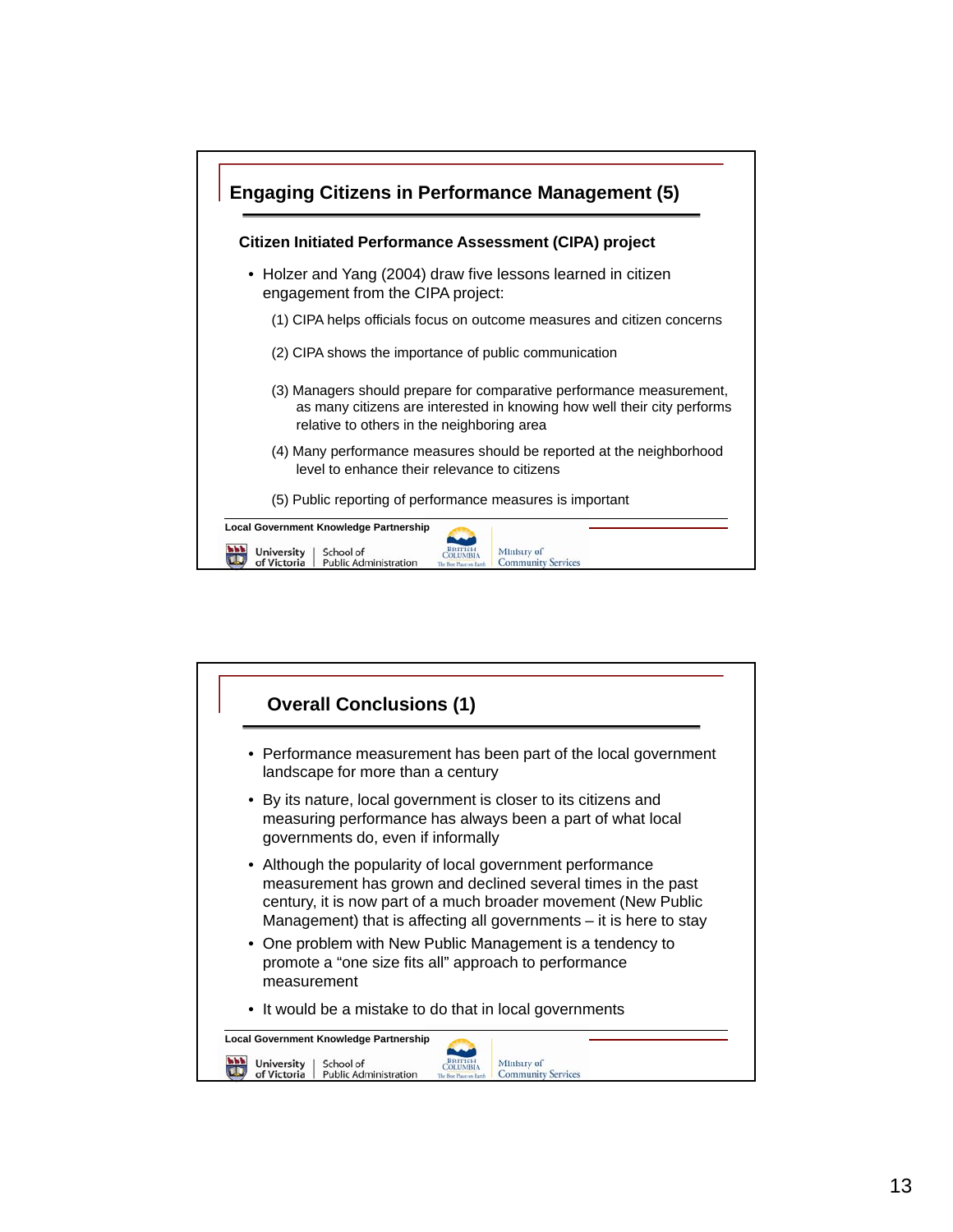